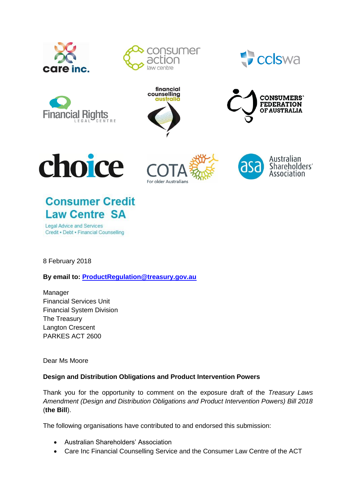

















# **Consumer Credit Law Centre SA**

**Legal Advice and Services** Credit . Debt . Financial Counselling

8 February 2018

**By email to: [ProductR](mailto:Product)egulation@treasury.gov.au**

Manager Financial Services Unit Financial System Division The Treasury Langton Crescent PARKES ACT 2600

Dear Ms Moore

# **Design and Distribution Obligations and Product Intervention Powers**

Thank you for the opportunity to comment on the exposure draft of the *Treasury Laws Amendment (Design and Distribution Obligations and Product Intervention Powers) Bill 2018* (**the Bill**).

The following organisations have contributed to and endorsed this submission:

- Australian Shareholders' Association
- Care Inc Financial Counselling Service and the Consumer Law Centre of the ACT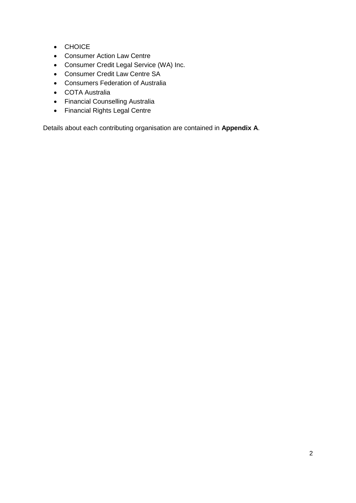- CHOICE
- Consumer Action Law Centre
- Consumer Credit Legal Service (WA) Inc.
- Consumer Credit Law Centre SA
- Consumers Federation of Australia
- COTA Australia
- Financial Counselling Australia
- Financial Rights Legal Centre

Details about each contributing organisation are contained in **Appendix A**.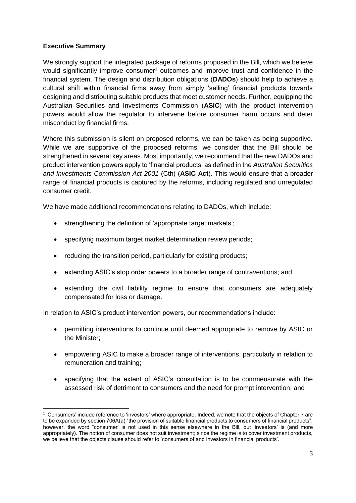# <span id="page-2-0"></span>**Executive Summary**

We strongly support the integrated package of reforms proposed in the Bill, which we believe would significantly improve consumer<sup>1</sup> outcomes and improve trust and confidence in the financial system. The design and distribution obligations (**DADOs**) should help to achieve a cultural shift within financial firms away from simply 'selling' financial products towards designing and distributing suitable products that meet customer needs. Further, equipping the Australian Securities and Investments Commission (**ASIC**) with the product intervention powers would allow the regulator to intervene before consumer harm occurs and deter misconduct by financial firms.

Where this submission is silent on proposed reforms, we can be taken as being supportive. While we are supportive of the proposed reforms, we consider that the Bill should be strengthened in several key areas. Most importantly, we recommend that the new DADOs and product intervention powers apply to 'financial products' as defined in the *Australian Securities and Investments Commission Act 2001* (Cth) (**ASIC Act**). This would ensure that a broader range of financial products is captured by the reforms, including regulated and unregulated consumer credit.

We have made additional recommendations relating to DADOs, which include:

- strengthening the definition of 'appropriate target markets':
- specifying maximum target market determination review periods;
- reducing the transition period, particularly for existing products;
- extending ASIC's stop order powers to a broader range of contraventions; and
- extending the civil liability regime to ensure that consumers are adequately compensated for loss or damage.

In relation to ASIC's product intervention powers, our recommendations include:

- permitting interventions to continue until deemed appropriate to remove by ASIC or the Minister;
- empowering ASIC to make a broader range of interventions, particularly in relation to remuneration and training;
- specifying that the extent of ASIC's consultation is to be commensurate with the assessed risk of detriment to consumers and the need for prompt intervention; and

 $\overline{a}$ 1 'Consumers' include reference to 'investors' where appropriate. Indeed, we note that the objects of Chapter 7 are to be expanded by section 706A(a) "the provision of suitable financial products to consumers of financial products"; however, the word "consumer' is not used in this sense elsewhere in the Bill, but 'investors' is (and more appropriately). The notion of consumer does not suit investment; since the regime is to cover investment products, we believe that the objects clause should refer to 'consumers of and investors in financial products'.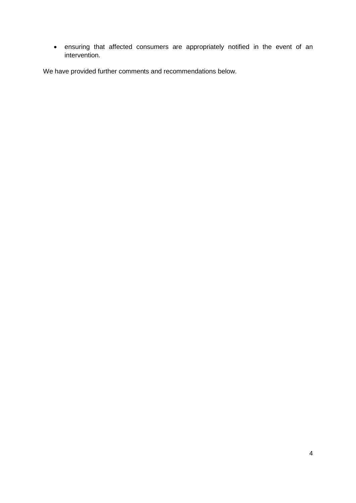• ensuring that affected consumers are appropriately notified in the event of an intervention.

We have provided further comments and recommendations below.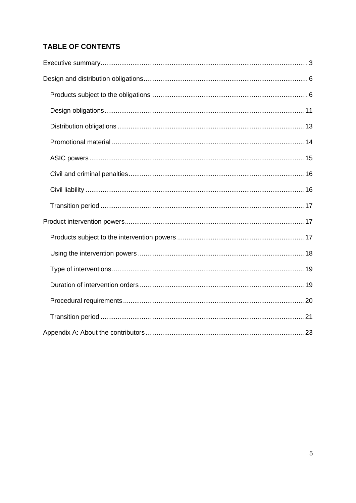# **TABLE OF CONTENTS**

<span id="page-4-0"></span>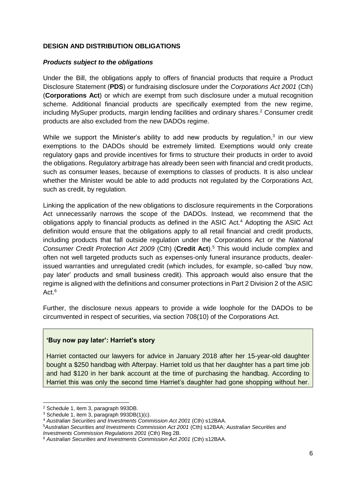# **DESIGN AND DISTRIBUTION OBLIGATIONS**

#### <span id="page-5-0"></span>*Products subject to the obligations*

Under the Bill, the obligations apply to offers of financial products that require a Product Disclosure Statement (**PDS**) or fundraising disclosure under the *Corporations Act 2001* (Cth) (**Corporations Act**) or which are exempt from such disclosure under a mutual recognition scheme. Additional financial products are specifically exempted from the new regime, including MySuper products, margin lending facilities and ordinary shares.<sup>2</sup> Consumer credit products are also excluded from the new DADOs regime.

While we support the Minister's ability to add new products by regulation, $3$  in our view exemptions to the DADOs should be extremely limited. Exemptions would only create regulatory gaps and provide incentives for firms to structure their products in order to avoid the obligations. Regulatory arbitrage has already been seen with financial and credit products, such as consumer leases, because of exemptions to classes of products. It is also unclear whether the Minister would be able to add products not regulated by the Corporations Act, such as credit, by regulation.

Linking the application of the new obligations to disclosure requirements in the Corporations Act unnecessarily narrows the scope of the DADOs. Instead, we recommend that the obligations apply to financial products as defined in the ASIC Act. <sup>4</sup> Adopting the ASIC Act definition would ensure that the obligations apply to all retail financial and credit products, including products that fall outside regulation under the Corporations Act or the *National Consumer Credit Protection Act 2009* (Cth) (**Credit Act**).<sup>5</sup> This would include complex and often not well targeted products such as expenses-only funeral insurance products, dealerissued warranties and unregulated credit (which includes, for example, so-called 'buy now, pay later' products and small business credit). This approach would also ensure that the regime is aligned with the definitions and consumer protections in Part 2 Division 2 of the ASIC Act  $6$ 

Further, the disclosure nexus appears to provide a wide loophole for the DADOs to be circumvented in respect of securities, via section 708(10) of the Corporations Act.

#### **'Buy now pay later': Harriet's story**

Harriet contacted our lawyers for advice in January 2018 after her 15-year-old daughter bought a \$250 handbag with Afterpay. Harriet told us that her daughter has a part time job and had \$120 in her bank account at the time of purchasing the handbag. According to Harriet this was only the second time Harriet's daughter had gone shopping without her.

<sup>-</sup><sup>2</sup> Schedule 1, item 3, paragraph 993DB.

<sup>3</sup> Schedule 1, item 3, paragraph 993DB(1)(c).

<sup>4</sup> *Australian Securities and Investments Commission Act 2001* (Cth) s12BAA.

<sup>5</sup>*Australian Securities and Investments Commission Act 2001* (Cth) s12BAA; *Australian Securities and Investments Commission Regulations 2001* (Cth) Reg 2B.

<sup>6</sup> *Australian Securities and Investments Commission Act 2001* (Cth) s12BAA.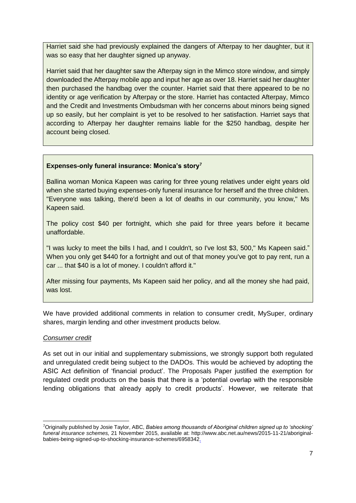Harriet said she had previously explained the dangers of Afterpay to her daughter, but it was so easy that her daughter signed up anyway.

Harriet said that her daughter saw the Afterpay sign in the Mimco store window, and simply downloaded the Afterpay mobile app and input her age as over 18. Harriet said her daughter then purchased the handbag over the counter. Harriet said that there appeared to be no identity or age verification by Afterpay or the store. Harriet has contacted Afterpay, Mimco and the Credit and Investments Ombudsman with her concerns about minors being signed up so easily, but her complaint is yet to be resolved to her satisfaction. Harriet says that according to Afterpay her daughter remains liable for the \$250 handbag, despite her account being closed.

#### **Expenses-only funeral insurance: Monica's story<sup>7</sup>**

Ballina woman Monica Kapeen was caring for three young relatives under eight years old when she started buying expenses-only funeral insurance for herself and the three children. "Everyone was talking, there'd been a lot of deaths in our community, you know," Ms Kapeen said.

The policy cost \$40 per fortnight, which she paid for three years before it became unaffordable.

"I was lucky to meet the bills I had, and I couldn't, so I've lost \$3, 500," Ms Kapeen said." When you only get \$440 for a fortnight and out of that money you've got to pay rent, run a car ... that \$40 is a lot of money. I couldn't afford it."

After missing four payments, Ms Kapeen said her policy, and all the money she had paid, was lost.

We have provided additional comments in relation to consumer credit, MySuper, ordinary shares, margin lending and other investment products below.

#### *Consumer credit*

-

As set out in our initial and supplementary submissions, we strongly support both regulated and unregulated credit being subject to the DADOs. This would be achieved by adopting the ASIC Act definition of 'financial product'. The Proposals Paper justified the exemption for regulated credit products on the basis that there is a 'potential overlap with the responsible lending obligations that already apply to credit products'. However, we reiterate that

<sup>7</sup>Originally published by Josie Taylor, ABC, *Babies among thousands of Aboriginal children signed up to 'shocking' funeral insurance schemes,* 21 November 2015, available at: http://www.abc.net.au/news/2015-11-21/aboriginalbabies-being-signed-up-to-shocking-insurance-schemes/6958342.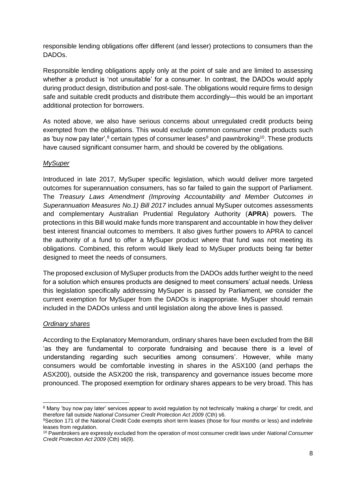responsible lending obligations offer different (and lesser) protections to consumers than the DADOs.

Responsible lending obligations apply only at the point of sale and are limited to assessing whether a product is 'not unsuitable' for a consumer. In contrast, the DADOs would apply during product design, distribution and post-sale. The obligations would require firms to design safe and suitable credit products and distribute them accordingly—this would be an important additional protection for borrowers.

As noted above, we also have serious concerns about unregulated credit products being exempted from the obligations. This would exclude common consumer credit products such as 'buy now pay later', $8$  certain types of consumer leases $9$  and pawnbroking  $10$ . These products have caused significant consumer harm, and should be covered by the obligations.

#### *MySuper*

Introduced in late 2017, MySuper specific legislation, which would deliver more targeted outcomes for superannuation consumers, has so far failed to gain the support of Parliament. The *Treasury Laws Amendment (Improving Accountability and Member Outcomes in Superannuation Measures No.1) Bill 2017* includes annual MySuper outcomes assessments and complementary Australian Prudential Regulatory Authority (**APRA**) powers. The protections in this Bill would make funds more transparent and accountable in how they deliver best interest financial outcomes to members. It also gives further powers to APRA to cancel the authority of a fund to offer a MySuper product where that fund was not meeting its obligations. Combined, this reform would likely lead to MySuper products being far better designed to meet the needs of consumers.

The proposed exclusion of MySuper products from the DADOs adds further weight to the need for a solution which ensures products are designed to meet consumers' actual needs. Unless this legislation specifically addressing MySuper is passed by Parliament, we consider the current exemption for MySuper from the DADOs is inappropriate. MySuper should remain included in the DADOs unless and until legislation along the above lines is passed.

# *Ordinary shares*

According to the Explanatory Memorandum, ordinary shares have been excluded from the Bill 'as they are fundamental to corporate fundraising and because there is a level of understanding regarding such securities among consumers'. However, while many consumers would be comfortable investing in shares in the ASX100 (and perhaps the ASX200), outside the ASX200 the risk, transparency and governance issues become more pronounced. The proposed exemption for ordinary shares appears to be very broad. This has

<sup>-</sup>8 Many 'buy now pay later' services appear to avoid regulation by not technically 'making a charge' for credit, and therefore fall outside *National Consumer Credit Protection Act 2009* (Cth) s6.

<sup>9</sup>Section 171 of the National Credit Code exempts short term leases (those for four months or less) and indefinite leases from regulation.

<sup>10</sup> Pawnbrokers are expressly excluded from the operation of most consumer credit laws under *National Consumer Credit Protection Act 2009* (Cth) s6(9).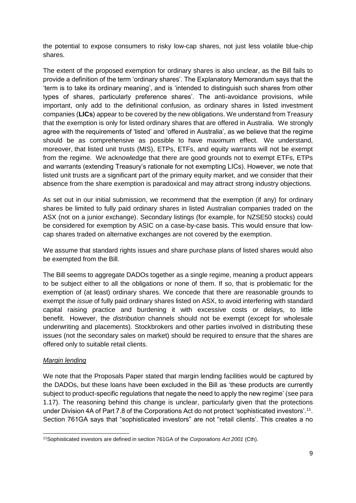the potential to expose consumers to risky low-cap shares, not just less volatile blue-chip shares.

The extent of the proposed exemption for ordinary shares is also unclear, as the Bill fails to provide a definition of the term 'ordinary shares'. The Explanatory Memorandum says that the 'term is to take its ordinary meaning', and is 'intended to distinguish such shares from other types of shares, particularly preference shares'. The anti-avoidance provisions, while important, only add to the definitional confusion, as ordinary shares in listed investment companies (**LICs**) appear to be covered by the new obligations. We understand from Treasury that the exemption is only for listed ordinary shares that are offered in Australia. We strongly agree with the requirements of 'listed' and 'offered in Australia', as we believe that the regime should be as comprehensive as possible to have maximum effect. We understand, moreover, that listed unit trusts (MIS), ETPs, ETFs, and equity warrants will not be exempt from the regime. We acknowledge that there are good grounds not to exempt ETFs, ETPs and warrants (extending Treasury's rationale for not exempting LICs). However, we note that listed unit trusts are a significant part of the primary equity market, and we consider that their absence from the share exemption is paradoxical and may attract strong industry objections.

As set out in our initial submission, we recommend that the exemption (if any) for ordinary shares be limited to fully paid ordinary shares in listed Australian companies traded on the ASX (not on a junior exchange). Secondary listings (for example, for NZSE50 stocks) could be considered for exemption by ASIC on a case-by-case basis. This would ensure that lowcap shares traded on alternative exchanges are not covered by the exemption.

We assume that standard rights issues and share purchase plans of listed shares would also be exempted from the Bill.

The Bill seems to aggregate DADOs together as a single regime, meaning a product appears to be subject either to all the obligations or none of them. If so, that is problematic for the exemption of (at least) ordinary shares. We concede that there are reasonable grounds to exempt the *issue* of fully paid ordinary shares listed on ASX, to avoid interfering with standard capital raising practice and burdening it with excessive costs or delays, to little benefit. However, the *distribution* channels should not be exempt (except for wholesale underwriting and placements). Stockbrokers and other parties involved in distributing these issues (not the secondary sales on market) should be required to ensure that the shares are offered only to suitable retail clients.

#### *Margin lending*

We note that the Proposals Paper stated that margin lending facilities would be captured by the DADOs, but these loans have been excluded in the Bill as 'these products are currently subject to product-specific regulations that negate the need to apply the new regime' (see para 1.17). The reasoning behind this change is unclear, particularly given that the protections under Division 4A of Part 7.8 of the Corporations Act do not protect 'sophisticated investors'.<sup>11</sup>. Section 761GA says that "sophisticated investors" are not "retail clients'. This creates a no

<sup>-</sup>11Sophisticated investors are defined in section 761GA of the *Corporations Act 2001* (Cth).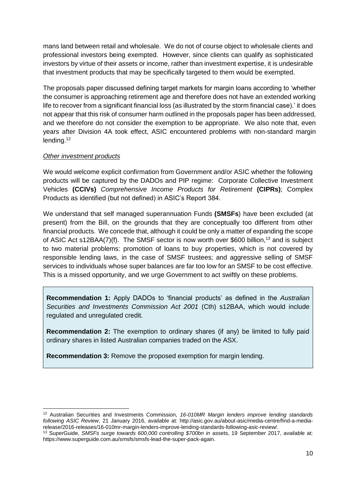mans land between retail and wholesale. We do not of course object to wholesale clients and professional investors being exempted. However, since clients can qualify as sophisticated investors by virtue of their assets or income, rather than investment expertise, it is undesirable that investment products that may be specifically targeted to them would be exempted.

The proposals paper discussed defining target markets for margin loans according to 'whether the consumer is approaching retirement age and therefore does not have an extended working life to recover from a significant financial loss (as illustrated by the storm financial case).' it does not appear that this risk of consumer harm outlined in the proposals paper has been addressed, and we therefore do not consider the exemption to be appropriate. We also note that, even years after Division 4A took effect, ASIC encountered problems with non-standard margin lending. 12

#### *Other investment products*

 $\overline{a}$ 

We would welcome explicit confirmation from Government and/or ASIC whether the following products will be captured by the DADOs and PIP regime: Corporate Collective Investment Vehicles **(CCIVs)** *Comprehensive Income Products for Retirement* **(CIPRs)**; Complex Products as identified (but not defined) in ASIC's Report 384.

We understand that self managed superannuation Funds **(SMSFs**) have been excluded (at present) from the Bill, on the grounds that they are conceptually too different from other financial products. We concede that, although it could be only a matter of expanding the scope of ASIC Act s12BAA(7)(f). The SMSF sector is now worth over \$600 billion,<sup>13</sup> and is subject to two material problems: promotion of loans to buy properties, which is not covered by responsible lending laws, in the case of SMSF trustees; and aggressive selling of SMSF services to individuals whose super balances are far too low for an SMSF to be cost effective. This is a missed opportunity, and we urge Government to act swiftly on these problems.

**Recommendation 1:** Apply DADOs to 'financial products' as defined in the *Australian Securities and Investments Commission Act 2001* (Cth) s12BAA, which would include regulated and unregulated credit.

**Recommendation 2:** The exemption to ordinary shares (if any) be limited to fully paid ordinary shares in listed Australian companies traded on the ASX.

**Recommendation 3:** Remove the proposed exemption for margin lending.

<sup>12</sup> Australian Securities and Investments Commission, *16-010MR Margin lenders improve lending standards following ASIC Review*, 21 January 2016, available at: http://asic.gov.au/about-asic/media-centre/find-a-mediarelease/2016-releases/16-010mr-margin-lenders-improve-lending-standards-following-asic-review/.

<sup>13</sup> SuperGuide, *SMSFs surge towards 600,000 controlling \$700bn in* assets, 19 September 2017, available at: https://www.superguide.com.au/smsfs/smsfs-lead-the-super-pack-again.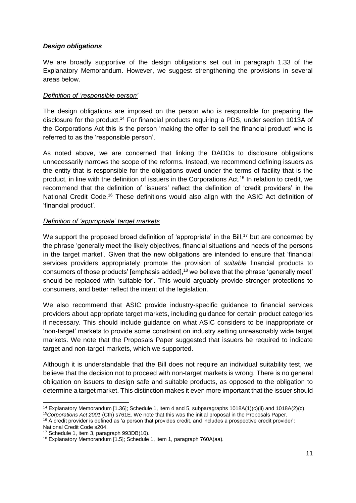# <span id="page-10-0"></span>*Design obligations*

We are broadly supportive of the design obligations set out in paragraph 1.33 of the Explanatory Memorandum. However, we suggest strengthening the provisions in several areas below.

#### *Definition of 'responsible person'*

The design obligations are imposed on the person who is responsible for preparing the disclosure for the product.<sup>14</sup> For financial products requiring a PDS, under section 1013A of the Corporations Act this is the person 'making the offer to sell the financial product' who is referred to as the 'responsible person'.

As noted above, we are concerned that linking the DADOs to disclosure obligations unnecessarily narrows the scope of the reforms. Instead, we recommend defining issuers as the entity that is responsible for the obligations owed under the terms of facility that is the product, in line with the definition of issuers in the Corporations Act.<sup>15</sup> In relation to credit, we recommend that the definition of 'issuers' reflect the definition of 'credit providers' in the National Credit Code.<sup>16</sup> These definitions would also align with the ASIC Act definition of 'financial product'.

#### *Definition of 'appropriate' target markets*

We support the proposed broad definition of 'appropriate' in the Bill,<sup>17</sup> but are concerned by the phrase 'generally meet the likely objectives, financial situations and needs of the persons in the target market'. Given that the new obligations are intended to ensure that 'financial services providers appropriately promote the provision of *suitable* financial products to consumers of those products' [emphasis added],<sup>18</sup> we believe that the phrase 'generally meet' should be replaced with 'suitable for'. This would arguably provide stronger protections to consumers, and better reflect the intent of the legislation.

We also recommend that ASIC provide industry-specific guidance to financial services providers about appropriate target markets, including guidance for certain product categories if necessary. This should include guidance on what ASIC considers to be inappropriate or 'non-target' markets to provide some constraint on industry setting unreasonably wide target markets. We note that the Proposals Paper suggested that issuers be required to indicate target and non-target markets, which we supported.

Although it is understandable that the Bill does not require an individual suitability test, we believe that the decision not to proceed with non-target markets is wrong. There is no general obligation on issuers to design safe and suitable products, as opposed to the obligation to determine a target market. This distinction makes it even more important that the issuer should

<sup>15</sup>*Corporations Act 2001* (Cth) s761E. We note that this was the initial proposal in the Proposals Paper. <sup>16</sup> A credit provider is defined as 'a person that provides credit, and includes a prospective credit provider':

<sup>-</sup><sup>14</sup> Explanatory Memorandum [1.36]; Schedule 1, item 4 and 5, subparagraphs  $1018A(1)(c)(ii)$  and  $1018A(2)(c)$ .

National Credit Code s204.

<sup>&</sup>lt;sup>17</sup> Schedule 1, item 3, paragraph 993DB(10).

<sup>18</sup> Explanatory Memorandum [1.5]; Schedule 1, item 1, paragraph 760A(aa).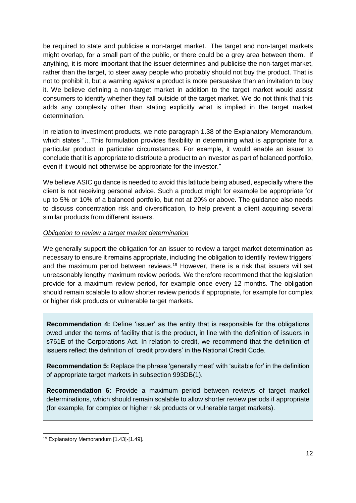be required to state and publicise a non-target market. The target and non-target markets might overlap, for a small part of the public, or there could be a grey area between them. If anything, it is more important that the issuer determines and publicise the non-target market, rather than the target, to steer away people who probably should not buy the product. That is not to prohibit it, but a warning *against* a product is more persuasive than an invitation to buy it. We believe defining a non-target market in addition to the target market would assist consumers to identify whether they fall outside of the target market. We do not think that this adds any complexity other than stating explicitly what is implied in the target market determination.

In relation to investment products, we note paragraph 1.38 of the Explanatory Memorandum, which states "...This formulation provides flexibility in determining what is appropriate for a particular product in particular circumstances. For example, it would enable an issuer to conclude that it is appropriate to distribute a product to an investor as part of balanced portfolio, even if it would not otherwise be appropriate for the investor."

We believe ASIC guidance is needed to avoid this latitude being abused, especially where the client is not receiving personal advice. Such a product might for example be appropriate for up to 5% or 10% of a balanced portfolio, but not at 20% or above. The guidance also needs to discuss concentration risk and diversification, to help prevent a client acquiring several similar products from different issuers.

#### *Obligation to review a target market determination*

We generally support the obligation for an issuer to review a target market determination as necessary to ensure it remains appropriate, including the obligation to identify 'review triggers' and the maximum period between reviews.<sup>19</sup> However, there is a risk that issuers will set unreasonably lengthy maximum review periods. We therefore recommend that the legislation provide for a maximum review period, for example once every 12 months. The obligation should remain scalable to allow shorter review periods if appropriate, for example for complex or higher risk products or vulnerable target markets.

**Recommendation 4:** Define 'issuer' as the entity that is responsible for the obligations owed under the terms of facility that is the product, in line with the definition of issuers in s761E of the Corporations Act. In relation to credit, we recommend that the definition of issuers reflect the definition of 'credit providers' in the National Credit Code.

**Recommendation 5:** Replace the phrase 'generally meet' with 'suitable for' in the definition of appropriate target markets in subsection 993DB(1).

**Recommendation 6:** Provide a maximum period between reviews of target market determinations, which should remain scalable to allow shorter review periods if appropriate (for example, for complex or higher risk products or vulnerable target markets).

<sup>-</sup><sup>19</sup> Explanatory Memorandum [1.43]-[1.49].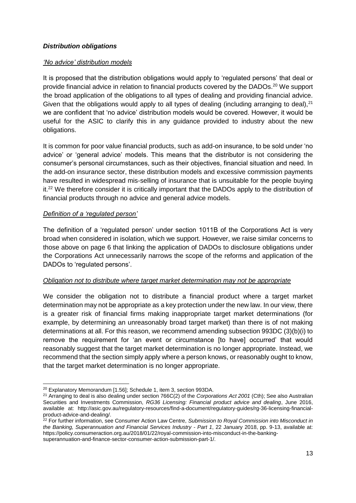# <span id="page-12-0"></span>*Distribution obligations*

#### *'No advice' distribution models*

It is proposed that the distribution obligations would apply to 'regulated persons' that deal or provide financial advice in relation to financial products covered by the DADOs.<sup>20</sup> We support the broad application of the obligations to all types of dealing and providing financial advice. Given that the obligations would apply to all types of dealing (including arranging to deal).<sup>21</sup> we are confident that 'no advice' distribution models would be covered. However, it would be useful for the ASIC to clarify this in any guidance provided to industry about the new obligations.

It is common for poor value financial products, such as add-on insurance, to be sold under 'no advice' or 'general advice' models. This means that the distributor is not considering the consumer's personal circumstances, such as their objectives, financial situation and need. In the add-on insurance sector, these distribution models and excessive commission payments have resulted in widespread mis-selling of insurance that is unsuitable for the people buying it.<sup>22</sup> We therefore consider it is critically important that the DADOs apply to the distribution of financial products through no advice and general advice models.

#### *Definition of a 'regulated person'*

The definition of a 'regulated person' under section 1011B of the Corporations Act is very broad when considered in isolation, which we support. However, we raise similar concerns to those above on page 6 that linking the application of DADOs to disclosure obligations under the Corporations Act unnecessarily narrows the scope of the reforms and application of the DADOs to 'regulated persons'.

# *Obligation not to distribute where target market determination may not be appropriate*

We consider the obligation not to distribute a financial product where a target market determination may not be appropriate as a key protection under the new law. In our view, there is a greater risk of financial firms making inappropriate target market determinations (for example, by determining an unreasonably broad target market) than there is of not making determinations at all. For this reason, we recommend amending subsection 993DC (3)(b)(i) to remove the requirement for 'an event or circumstance [to have] occurred' that would reasonably suggest that the target market determination is no longer appropriate. Instead, we recommend that the section simply apply where a person knows, or reasonably ought to know, that the target market determination is no longer appropriate.

13

<sup>-</sup><sup>20</sup> Explanatory Memorandum [1.56]; Schedule 1, item 3, section 993DA.

<sup>21</sup> Arranging to deal is also dealing under section 766C(2) of the *Corporations Act 2001* (Cth); See also Australian Securities and Investments Commission, *RG36 Licensing: Financial product advice and dealing*, June 2016, available at: http://asic.gov.au/regulatory-resources/find-a-document/regulatory-guides/rg-36-licensing-financialproduct-advice-and-dealing/.

<sup>22</sup> For further information, see Consumer Action Law Centre, *Submission to Royal Commission into Misconduct in the Banking, Superannuation and Financial Services Industry - Part 1*, 22 January 2018, pp. 9-13, available at: https://policy.consumeraction.org.au/2018/01/22/royal-commission-into-misconduct-in-the-bankingsuperannuation-and-finance-sector-consumer-action-submission-part-1/.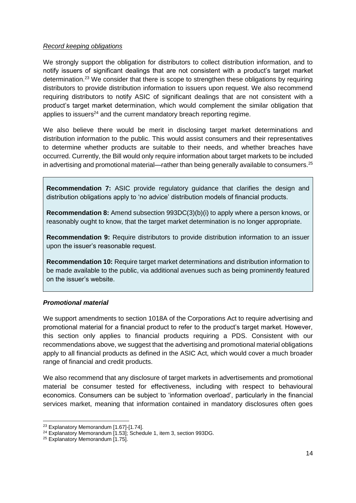#### *Record keeping obligations*

We strongly support the obligation for distributors to collect distribution information, and to notify issuers of significant dealings that are not consistent with a product's target market determination.<sup>23</sup> We consider that there is scope to strengthen these obligations by requiring distributors to provide distribution information to issuers upon request. We also recommend requiring distributors to notify ASIC of significant dealings that are not consistent with a product's target market determination, which would complement the similar obligation that applies to issuers<sup>24</sup> and the current mandatory breach reporting regime.

We also believe there would be merit in disclosing target market determinations and distribution information to the public. This would assist consumers and their representatives to determine whether products are suitable to their needs, and whether breaches have occurred. Currently, the Bill would only require information about target markets to be included in advertising and promotional material—rather than being generally available to consumers.<sup>25</sup>

**Recommendation 7:** ASIC provide regulatory guidance that clarifies the design and distribution obligations apply to 'no advice' distribution models of financial products.

**Recommendation 8:** Amend subsection 993DC(3)(b)(i) to apply where a person knows, or reasonably ought to know, that the target market determination is no longer appropriate.

**Recommendation 9:** Require distributors to provide distribution information to an issuer upon the issuer's reasonable request.

**Recommendation 10:** Require target market determinations and distribution information to be made available to the public, via additional avenues such as being prominently featured on the issuer's website.

# <span id="page-13-0"></span>*Promotional material*

We support amendments to section 1018A of the Corporations Act to require advertising and promotional material for a financial product to refer to the product's target market. However, this section only applies to financial products requiring a PDS. Consistent with our recommendations above, we suggest that the advertising and promotional material obligations apply to all financial products as defined in the ASIC Act, which would cover a much broader range of financial and credit products.

We also recommend that any disclosure of target markets in advertisements and promotional material be consumer tested for effectiveness, including with respect to behavioural economics. Consumers can be subject to 'information overload', particularly in the financial services market, meaning that information contained in mandatory disclosures often goes

-

<sup>23</sup> Explanatory Memorandum [1.67]-[1.74].

<sup>24</sup> Explanatory Memorandum [1.53]; Schedule 1, item 3, section 993DG.

<sup>&</sup>lt;sup>25</sup> Explanatory Memorandum [1.75].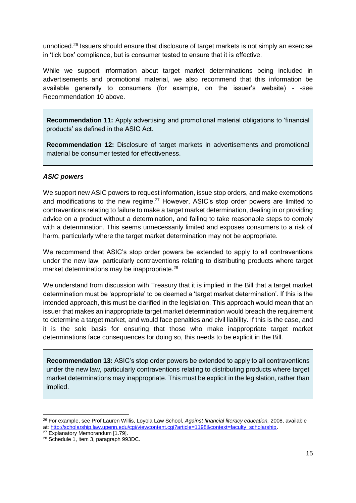unnoticed.<sup>26</sup> Issuers should ensure that disclosure of target markets is not simply an exercise in 'tick box' compliance, but is consumer tested to ensure that it is effective.

While we support information about target market determinations being included in advertisements and promotional material, we also recommend that this information be available generally to consumers (for example, on the issuer's website) - -see Recommendation 10 above.

**Recommendation 11:** Apply advertising and promotional material obligations to 'financial products' as defined in the ASIC Act.

**Recommendation 12:** Disclosure of target markets in advertisements and promotional material be consumer tested for effectiveness.

#### <span id="page-14-0"></span>*ASIC powers*

We support new ASIC powers to request information, issue stop orders, and make exemptions and modifications to the new regime.<sup>27</sup> However, ASIC's stop order powers are limited to contraventions relating to failure to make a target market determination, dealing in or providing advice on a product without a determination, and failing to take reasonable steps to comply with a determination. This seems unnecessarily limited and exposes consumers to a risk of harm, particularly where the target market determination may not be appropriate.

We recommend that ASIC's stop order powers be extended to apply to all contraventions under the new law, particularly contraventions relating to distributing products where target market determinations may be inappropriate.<sup>28</sup>

We understand from discussion with Treasury that it is implied in the Bill that a target market determination must be 'appropriate' to be deemed a 'target market determination'. If this is the intended approach, this must be clarified in the legislation. This approach would mean that an issuer that makes an inappropriate target market determination would breach the requirement to determine a target market, and would face penalties and civil liability. If this is the case, and it is the sole basis for ensuring that those who make inappropriate target market determinations face consequences for doing so, this needs to be explicit in the Bill.

**Recommendation 13:** ASIC's stop order powers be extended to apply to all contraventions under the new law, particularly contraventions relating to distributing products where target market determinations may inappropriate. This must be explicit in the legislation, rather than implied.

<sup>-</sup><sup>26</sup> For example, see Prof Lauren Willis, Loyola Law School, *Against financial literacy education,* 2008, available at[: http://scholarship.law.upenn.edu/cgi/viewcontent.cgi?article=1198&context=faculty\\_scholarship.](http://scholarship.law.upenn.edu/cgi/viewcontent.cgi?article=1198&context=faculty_scholarship)

<sup>&</sup>lt;sup>27</sup> Explanatory Memorandum [1.79].

<sup>28</sup> Schedule 1, item 3, paragraph 993DC.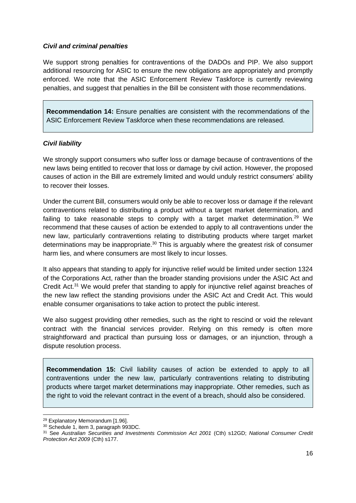#### <span id="page-15-0"></span>*Civil and criminal penalties*

We support strong penalties for contraventions of the DADOs and PIP. We also support additional resourcing for ASIC to ensure the new obligations are appropriately and promptly enforced. We note that the ASIC Enforcement Review Taskforce is currently reviewing penalties, and suggest that penalties in the Bill be consistent with those recommendations.

**Recommendation 14:** Ensure penalties are consistent with the recommendations of the ASIC Enforcement Review Taskforce when these recommendations are released.

#### <span id="page-15-1"></span>*Civil liability*

We strongly support consumers who suffer loss or damage because of contraventions of the new laws being entitled to recover that loss or damage by civil action. However, the proposed causes of action in the Bill are extremely limited and would unduly restrict consumers' ability to recover their losses.

Under the current Bill, consumers would only be able to recover loss or damage if the relevant contraventions related to distributing a product without a target market determination, and failing to take reasonable steps to comply with a target market determination.<sup>29</sup> We recommend that these causes of action be extended to apply to all contraventions under the new law, particularly contraventions relating to distributing products where target market determinations may be inappropriate.<sup>30</sup> This is arguably where the greatest risk of consumer harm lies, and where consumers are most likely to incur losses.

It also appears that standing to apply for injunctive relief would be limited under section 1324 of the Corporations Act, rather than the broader standing provisions under the ASIC Act and Credit Act.<sup>31</sup> We would prefer that standing to apply for injunctive relief against breaches of the new law reflect the standing provisions under the ASIC Act and Credit Act. This would enable consumer organisations to take action to protect the public interest.

We also suggest providing other remedies, such as the right to rescind or void the relevant contract with the financial services provider. Relying on this remedy is often more straightforward and practical than pursuing loss or damages, or an injunction, through a dispute resolution process.

**Recommendation 15:** Civil liability causes of action be extended to apply to all contraventions under the new law, particularly contraventions relating to distributing products where target market determinations may inappropriate. Other remedies, such as the right to void the relevant contract in the event of a breach, should also be considered.

<sup>-</sup><sup>29</sup> Explanatory Memorandum [1.96].

<sup>30</sup> Schedule 1, item 3, paragraph 993DC.

<sup>31</sup> See *Australian Securities and Investments Commission Act 2001* (Cth) s12GD; *National Consumer Credit Protection Act 2009* (Cth) s177.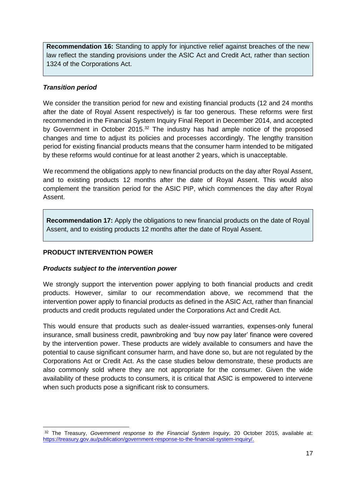**Recommendation 16:** Standing to apply for injunctive relief against breaches of the new law reflect the standing provisions under the ASIC Act and Credit Act, rather than section 1324 of the Corporations Act.

# <span id="page-16-0"></span>*Transition period*

We consider the transition period for new and existing financial products (12 and 24 months after the date of Royal Assent respectively) is far too generous. These reforms were first recommended in the Financial System Inquiry Final Report in December 2014, and accepted by Government in October 2015.<sup>32</sup> The industry has had ample notice of the proposed changes and time to adjust its policies and processes accordingly. The lengthy transition period for existing financial products means that the consumer harm intended to be mitigated by these reforms would continue for at least another 2 years, which is unacceptable.

We recommend the obligations apply to new financial products on the day after Royal Assent, and to existing products 12 months after the date of Royal Assent. This would also complement the transition period for the ASIC PIP, which commences the day after Royal Assent.

**Recommendation 17:** Apply the obligations to new financial products on the date of Royal Assent, and to existing products 12 months after the date of Royal Assent.

# <span id="page-16-1"></span>**PRODUCT INTERVENTION POWER**

#### <span id="page-16-2"></span>*Products subject to the intervention power*

We strongly support the intervention power applying to both financial products and credit products. However, similar to our recommendation above, we recommend that the intervention power apply to financial products as defined in the ASIC Act, rather than financial products and credit products regulated under the Corporations Act and Credit Act.

This would ensure that products such as dealer-issued warranties, expenses-only funeral insurance, small business credit, pawnbroking and 'buy now pay later' finance were covered by the intervention power. These products are widely available to consumers and have the potential to cause significant consumer harm, and have done so, but are not regulated by the Corporations Act or Credit Act. As the case studies below demonstrate, these products are also commonly sold where they are not appropriate for the consumer. Given the wide availability of these products to consumers, it is critical that ASIC is empowered to intervene when such products pose a significant risk to consumers.

<sup>-</sup><sup>32</sup> The Treasury, *Government response to the Financial System Inquiry,* 20 October 2015, available at: [https://treasury.gov.au/publication/government-response-to-the-financial-system-inquiry/.](https://treasury.gov.au/publication/government-response-to-the-financial-system-inquiry/)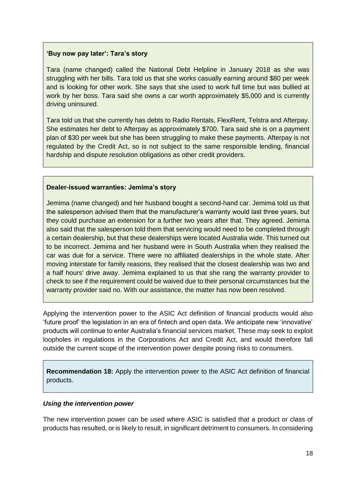#### **'Buy now pay later': Tara's story**

Tara (name changed) called the National Debt Helpline in January 2018 as she was struggling with her bills. Tara told us that she works casually earning around \$80 per week and is looking for other work. She says that she used to work full time but was bullied at work by her boss. Tara said she owns a car worth approximately \$5,000 and is currently driving uninsured.

Tara told us that she currently has debts to Radio Rentals, FlexiRent, Telstra and Afterpay. She estimates her debt to Afterpay as approximately \$700. Tara said she is on a payment plan of \$30 per week but she has been struggling to make these payments. Afterpay is not regulated by the Credit Act, so is not subject to the same responsible lending, financial hardship and dispute resolution obligations as other credit providers.

#### **Dealer-issued warranties: Jemima's story**

Jemima (name changed) and her husband bought a second-hand car. Jemima told us that the salesperson advised them that the manufacturer's warranty would last three years, but they could purchase an extension for a further two years after that. They agreed. Jemima also said that the salesperson told them that servicing would need to be completed through a certain dealership, but that these dealerships were located Australia wide. This turned out to be incorrect. Jemima and her husband were in South Australia when they realised the car was due for a service. There were no affiliated dealerships in the whole state. After moving interstate for family reasons, they realised that the closest dealership was two and a half hours' drive away. Jemima explained to us that she rang the warranty provider to check to see if the requirement could be waived due to their personal circumstances but the warranty provider said no. With our assistance, the matter has now been resolved.

Applying the intervention power to the ASIC Act definition of financial products would also 'future proof' the legislation in an era of fintech and open data. We anticipate new 'innovative' products will continue to enter Australia's financial services market. These may seek to exploit loopholes in regulations in the Corporations Act and Credit Act, and would therefore fall outside the current scope of the intervention power despite posing risks to consumers.

**Recommendation 18:** Apply the intervention power to the ASIC Act definition of financial products.

#### <span id="page-17-0"></span>*Using the intervention power*

The new intervention power can be used where ASIC is satisfied that a product or class of products has resulted, or is likely to result, in significant detriment to consumers. In considering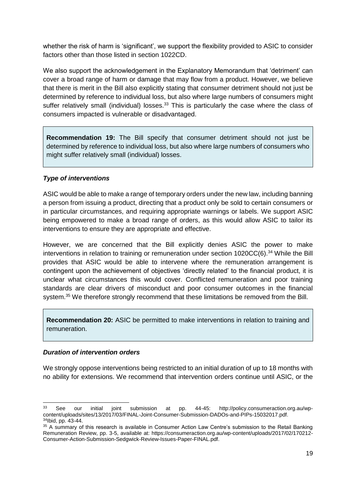whether the risk of harm is 'significant', we support the flexibility provided to ASIC to consider factors other than those listed in section 1022CD.

We also support the acknowledgement in the Explanatory Memorandum that 'detriment' can cover a broad range of harm or damage that may flow from a product. However, we believe that there is merit in the Bill also explicitly stating that consumer detriment should not just be determined by reference to individual loss, but also where large numbers of consumers might suffer relatively small (individual) losses.<sup>33</sup> This is particularly the case where the class of consumers impacted is vulnerable or disadvantaged.

**Recommendation 19:** The Bill specify that consumer detriment should not just be determined by reference to individual loss, but also where large numbers of consumers who might suffer relatively small (individual) losses.

#### <span id="page-18-0"></span>*Type of interventions*

ASIC would be able to make a range of temporary orders under the new law, including banning a person from issuing a product, directing that a product only be sold to certain consumers or in particular circumstances, and requiring appropriate warnings or labels. We support ASIC being empowered to make a broad range of orders, as this would allow ASIC to tailor its interventions to ensure they are appropriate and effective.

However, we are concerned that the Bill explicitly denies ASIC the power to make interventions in relation to training or remuneration under section 1020CC(6).<sup>34</sup> While the Bill provides that ASIC would be able to intervene where the remuneration arrangement is contingent upon the achievement of objectives 'directly related' to the financial product, it is unclear what circumstances this would cover. Conflicted remuneration and poor training standards are clear drivers of misconduct and poor consumer outcomes in the financial system.<sup>35</sup> We therefore strongly recommend that these limitations be removed from the Bill.

**Recommendation 20:** ASIC be permitted to make interventions in relation to training and remuneration.

#### <span id="page-18-1"></span>*Duration of intervention orders*

We strongly oppose interventions being restricted to an initial duration of up to 18 months with no ability for extensions. We recommend that intervention orders continue until ASIC, or the

<sup>33</sup> See our initial joint submission at pp. 44-45: http://policy.consumeraction.org.au/wpcontent/uploads/sites/13/2017/03/FINAL-Joint-Consumer-Submission-DADOs-and-PIPs-15032017.pdf. <sup>34</sup>Ibid, pp. 43-44.

<sup>&</sup>lt;sup>35</sup> A summary of this research is available in Consumer Action Law Centre's submission to the Retail Banking Remuneration Review, pp. 3-5, available at: https://consumeraction.org.au/wp-content/uploads/2017/02/170212- Consumer-Action-Submission-Sedgwick-Review-Issues-Paper-FINAL.pdf.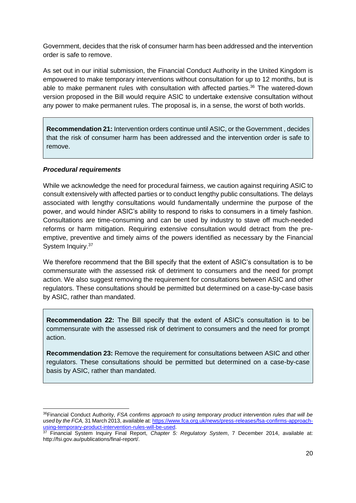Government, decides that the risk of consumer harm has been addressed and the intervention order is safe to remove.

As set out in our initial submission, the Financial Conduct Authority in the United Kingdom is empowered to make temporary interventions without consultation for up to 12 months, but is able to make permanent rules with consultation with affected parties.<sup>36</sup> The watered-down version proposed in the Bill would require ASIC to undertake extensive consultation without any power to make permanent rules. The proposal is, in a sense, the worst of both worlds.

**Recommendation 21:** Intervention orders continue until ASIC, or the Government , decides that the risk of consumer harm has been addressed and the intervention order is safe to remove.

#### <span id="page-19-0"></span>*Procedural requirements*

 $\overline{a}$ 

While we acknowledge the need for procedural fairness, we caution against requiring ASIC to consult extensively with affected parties or to conduct lengthy public consultations. The delays associated with lengthy consultations would fundamentally undermine the purpose of the power, and would hinder ASIC's ability to respond to risks to consumers in a timely fashion. Consultations are time-consuming and can be used by industry to stave off much-needed reforms or harm mitigation. Requiring extensive consultation would detract from the preemptive, preventive and timely aims of the powers identified as necessary by the Financial System Inquiry.<sup>37</sup>

We therefore recommend that the Bill specify that the extent of ASIC's consultation is to be commensurate with the assessed risk of detriment to consumers and the need for prompt action. We also suggest removing the requirement for consultations between ASIC and other regulators. These consultations should be permitted but determined on a case-by-case basis by ASIC, rather than mandated.

**Recommendation 22:** The Bill specify that the extent of ASIC's consultation is to be commensurate with the assessed risk of detriment to consumers and the need for prompt action.

**Recommendation 23:** Remove the requirement for consultations between ASIC and other regulators. These consultations should be permitted but determined on a case-by-case basis by ASIC, rather than mandated.

<sup>36</sup>Financial Conduct Authority, *FSA confirms approach to using temporary product intervention rules that will be used by the FCA,* 31 March 2013, available at[: https://www.fca.org.uk/news/press-releases/fsa-confirms-approach](https://www.fca.org.uk/news/press-releases/fsa-confirms-approach-using-temporary-product-intervention-rules-will-be-used)[using-temporary-product-intervention-rules-will-be-used.](https://www.fca.org.uk/news/press-releases/fsa-confirms-approach-using-temporary-product-intervention-rules-will-be-used)

<sup>37</sup> Financial System Inquiry Final Report, *Chapter 5: Regulatory System*, 7 December 2014, available at: http://fsi.gov.au/publications/final-report/.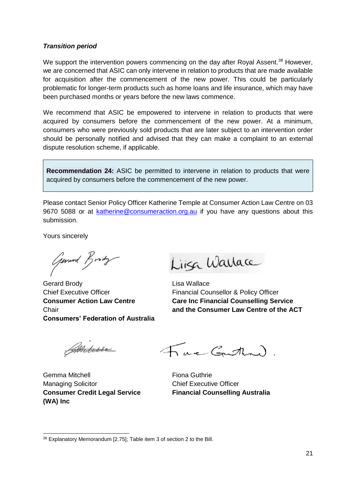#### <span id="page-20-0"></span>*Transition period*

We support the intervention powers commencing on the day after Royal Assent.<sup>38</sup> However, we are concerned that ASIC can only intervene in relation to products that are made available for acquisition after the commencement of the new power. This could be particularly problematic for longer-term products such as home loans and life insurance, which may have been purchased months or years before the new laws commence.

We recommend that ASIC be empowered to intervene in relation to products that were acquired by consumers before the commencement of the new power. At a minimum, consumers who were previously sold products that are later subject to an intervention order should be personally notified and advised that they can make a complaint to an external dispute resolution scheme, if applicable.

**Recommendation 24:** ASIC be permitted to intervene in relation to products that were acquired by consumers before the commencement of the new power.

Please contact Senior Policy Officer Katherine Temple at Consumer Action Law Centre on 03 9670 5088 or at [katherine@consumeraction.org.au](mailto:katherine@consumeraction.org.au) if you have any questions about this submission.

Yours sincerely

Gerard Brody

Gerard Brody **Contract Contract Contract Contract Contract Contract Contract Contract Contract Contract Contract Contract Contract Contract Contract Contract Contract Contract Contract Contract Contract Contract Contract C** Chief Executive Officer Financial Counsellor & Policy Officer **Consumers' Federation of Australia**

Linga Warlace

**Consumer Action Law Centre Care Inc Financial Counselling Service** Chair **and the Consumer Law Centre of the ACT**

Anture

Gemma Mitchell **Guide Commander Commander** Fiona Guthrie Managing Solicitor **Chief Executive Officer Consumer Credit Legal Service Financial Counselling Australia (WA) Inc**

Fac Gutten

<sup>-</sup><sup>38</sup> Explanatory Memorandum [2.75]; Table item 3 of section 2 to the Bill.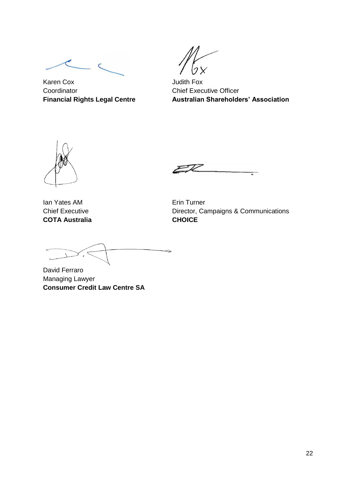Karen Cox **Judith Fox** Coordinator Coordinator Chief Executive Officer

**Financial Rights Legal Centre Australian Shareholders' Association**

Ian Yates AM **Example 2018** Erin Turner **COTA Australia CHOICE**

Chief Executive **Director, Campaigns & Communications** 

Ż,

<span id="page-21-0"></span>David Ferraro Managing Lawyer **Consumer Credit Law Centre SA**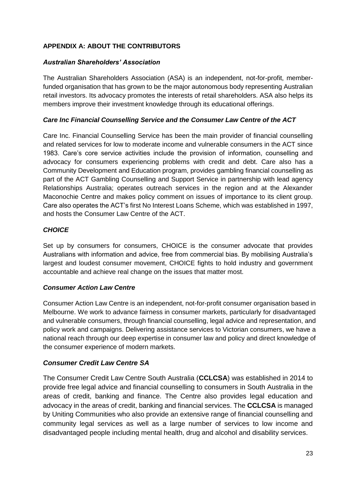# **APPENDIX A: ABOUT THE CONTRIBUTORS**

# *Australian Shareholders' Association*

The Australian Shareholders Association (ASA) is an independent, not-for-profit, memberfunded organisation that has grown to be the major autonomous body representing Australian retail investors. Its advocacy promotes the interests of retail shareholders. ASA also helps its members improve their investment knowledge through its educational offerings.

# *Care Inc Financial Counselling Service and the Consumer Law Centre of the ACT*

Care Inc. Financial Counselling Service has been the main provider of financial counselling and related services for low to moderate income and vulnerable consumers in the ACT since 1983. Care's core service activities include the provision of information, counselling and advocacy for consumers experiencing problems with credit and debt. Care also has a Community Development and Education program, provides gambling financial counselling as part of the ACT Gambling Counselling and Support Service in partnership with lead agency Relationships Australia; operates outreach services in the region and at the Alexander Maconochie Centre and makes policy comment on issues of importance to its client group. Care also operates the ACT's first No Interest Loans Scheme, which was established in 1997, and hosts the Consumer Law Centre of the ACT.

#### *CHOICE*

Set up by consumers for consumers, CHOICE is the consumer advocate that provides Australians with information and advice, free from commercial bias. By mobilising Australia's largest and loudest consumer movement, CHOICE fights to hold industry and government accountable and achieve real change on the issues that matter most.

# *Consumer Action Law Centre*

Consumer Action Law Centre is an independent, not-for-profit consumer organisation based in Melbourne. We work to advance fairness in consumer markets, particularly for disadvantaged and vulnerable consumers, through financial counselling, legal advice and representation, and policy work and campaigns. Delivering assistance services to Victorian consumers, we have a national reach through our deep expertise in consumer law and policy and direct knowledge of the consumer experience of modern markets.

# *Consumer Credit Law Centre SA*

The Consumer Credit Law Centre South Australia (**CCLCSA**) was established in 2014 to provide free legal advice and financial counselling to consumers in South Australia in the areas of credit, banking and finance. The Centre also provides legal education and advocacy in the areas of credit, banking and financial services. The **CCLCSA** is managed by Uniting Communities who also provide an extensive range of financial counselling and community legal services as well as a large number of services to low income and disadvantaged people including mental health, drug and alcohol and disability services.